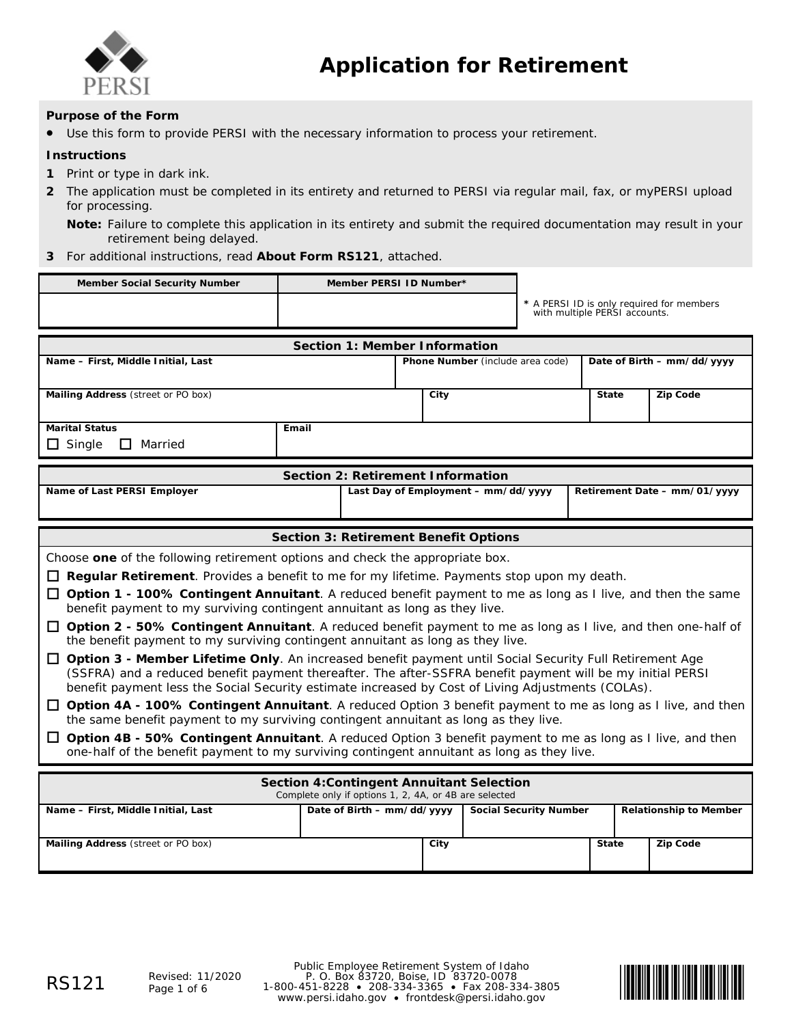

# **Purpose of the Form**

• Use this form to provide PERSI with the necessary information to process your retirement.

## **Instructions**

- **1** Print or type in dark ink.
- **2** The application must be completed in its entirety and returned to PERSI via regular mail, fax, or *my*PERSI upload for processing.

**Note:** Failure to complete this application in its entirety and submit the required documentation may result in your retirement being delayed.

**3** For additional instructions, read **About Form RS121**, attached.

| <b>Member Social Security Number</b>                                                                                                                                                                                                                                                                                          | Member PERSI ID Number*                      |                                     |      |  |                                  |              |                                           |
|-------------------------------------------------------------------------------------------------------------------------------------------------------------------------------------------------------------------------------------------------------------------------------------------------------------------------------|----------------------------------------------|-------------------------------------|------|--|----------------------------------|--------------|-------------------------------------------|
|                                                                                                                                                                                                                                                                                                                               |                                              |                                     |      |  | with multiple PERSI accounts.    |              | * A PERSI ID is only required for members |
|                                                                                                                                                                                                                                                                                                                               |                                              |                                     |      |  |                                  |              |                                           |
|                                                                                                                                                                                                                                                                                                                               | Section 1: Member Information                |                                     |      |  |                                  |              |                                           |
| Name - First, Middle Initial, Last                                                                                                                                                                                                                                                                                            |                                              |                                     |      |  | Phone Number (include area code) |              | Date of Birth - mm/dd/yyyy                |
| Mailing Address (street or PO box)                                                                                                                                                                                                                                                                                            |                                              |                                     | City |  |                                  | <b>State</b> | <b>Zip Code</b>                           |
|                                                                                                                                                                                                                                                                                                                               |                                              |                                     |      |  |                                  |              |                                           |
| <b>Marital Status</b>                                                                                                                                                                                                                                                                                                         | Email                                        |                                     |      |  |                                  |              |                                           |
| $\Box$ Single<br>□ Married                                                                                                                                                                                                                                                                                                    |                                              |                                     |      |  |                                  |              |                                           |
|                                                                                                                                                                                                                                                                                                                               | Section 2: Retirement Information            |                                     |      |  |                                  |              |                                           |
| Name of Last PERSI Employer                                                                                                                                                                                                                                                                                                   |                                              | Last Day of Employment - mm/dd/yyyy |      |  |                                  |              | Retirement Date - mm/01/yyyy              |
|                                                                                                                                                                                                                                                                                                                               |                                              |                                     |      |  |                                  |              |                                           |
|                                                                                                                                                                                                                                                                                                                               | <b>Section 3: Retirement Benefit Options</b> |                                     |      |  |                                  |              |                                           |
| Choose one of the following retirement options and check the appropriate box.                                                                                                                                                                                                                                                 |                                              |                                     |      |  |                                  |              |                                           |
| □ Regular Retirement. Provides a benefit to me for my lifetime. Payments stop upon my death.                                                                                                                                                                                                                                  |                                              |                                     |      |  |                                  |              |                                           |
| □ Option 1 - 100% Contingent Annuitant. A reduced benefit payment to me as long as I live, and then the same<br>benefit payment to my surviving contingent annuitant as long as they live.                                                                                                                                    |                                              |                                     |      |  |                                  |              |                                           |
| □ Option 2 - 50% Contingent Annuitant. A reduced benefit payment to me as long as I live, and then one-half of<br>the benefit payment to my surviving contingent annuitant as long as they live.                                                                                                                              |                                              |                                     |      |  |                                  |              |                                           |
| □ Option 3 - Member Lifetime Only. An increased benefit payment until Social Security Full Retirement Age<br>(SSFRA) and a reduced benefit payment thereafter. The after-SSFRA benefit payment will be my initial PERSI<br>benefit payment less the Social Security estimate increased by Cost of Living Adjustments (COLAs). |                                              |                                     |      |  |                                  |              |                                           |
| □ Option 4A - 100% Contingent Annuitant. A reduced Option 3 benefit payment to me as long as I live, and then<br>the same benefit payment to my surviving contingent annuitant as long as they live.                                                                                                                          |                                              |                                     |      |  |                                  |              |                                           |
| □ Option 4B - 50% Contingent Annuitant. A reduced Option 3 benefit payment to me as long as I live, and then<br>one-half of the benefit payment to my surviving contingent annuitant as long as they live.                                                                                                                    |                                              |                                     |      |  |                                  |              |                                           |
| <b>Section 4: Contingent Annuitant Selection</b>                                                                                                                                                                                                                                                                              |                                              |                                     |      |  |                                  |              |                                           |
| Complete only if options 1, 2, 4A, or 4B are selected                                                                                                                                                                                                                                                                         |                                              |                                     |      |  |                                  |              |                                           |
| Name - First, Middle Initial, Last                                                                                                                                                                                                                                                                                            |                                              | Date of Birth - mm/dd/yyyy          |      |  | <b>Social Security Number</b>    |              | <b>Relationship to Member</b>             |
| Mailing Address (street or PO box)                                                                                                                                                                                                                                                                                            |                                              |                                     | City |  |                                  | <b>State</b> | <b>Zip Code</b>                           |
|                                                                                                                                                                                                                                                                                                                               |                                              |                                     |      |  |                                  |              |                                           |

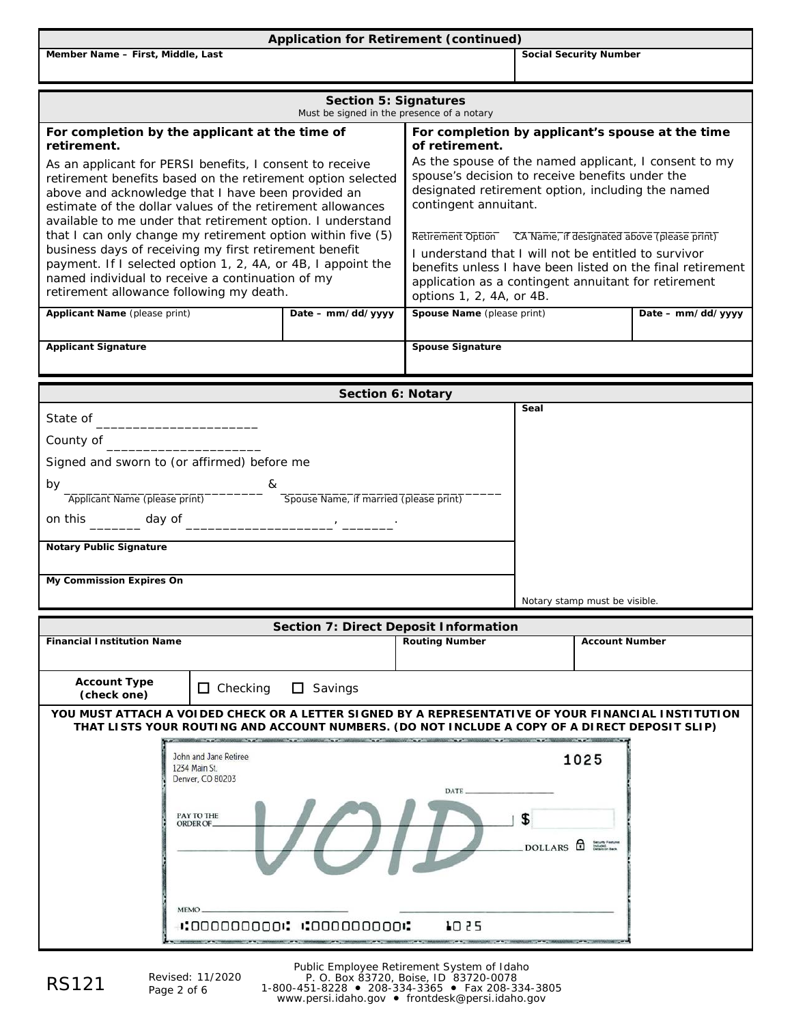| <b>Application for Retirement (continued)</b>                                                                                                                                                                                                                                                                                                                                                                                                                                                                                                                                                                     |                                              |                                                                                                                                                                                                                                                                                                                                                                                                                                                                                     |                               |                   |  |  |
|-------------------------------------------------------------------------------------------------------------------------------------------------------------------------------------------------------------------------------------------------------------------------------------------------------------------------------------------------------------------------------------------------------------------------------------------------------------------------------------------------------------------------------------------------------------------------------------------------------------------|----------------------------------------------|-------------------------------------------------------------------------------------------------------------------------------------------------------------------------------------------------------------------------------------------------------------------------------------------------------------------------------------------------------------------------------------------------------------------------------------------------------------------------------------|-------------------------------|-------------------|--|--|
| Member Name - First, Middle, Last                                                                                                                                                                                                                                                                                                                                                                                                                                                                                                                                                                                 |                                              |                                                                                                                                                                                                                                                                                                                                                                                                                                                                                     | <b>Social Security Number</b> |                   |  |  |
| <b>Section 5: Signatures</b><br>Must be signed in the presence of a notary                                                                                                                                                                                                                                                                                                                                                                                                                                                                                                                                        |                                              |                                                                                                                                                                                                                                                                                                                                                                                                                                                                                     |                               |                   |  |  |
| For completion by the applicant at the time of                                                                                                                                                                                                                                                                                                                                                                                                                                                                                                                                                                    |                                              | For completion by applicant's spouse at the time                                                                                                                                                                                                                                                                                                                                                                                                                                    |                               |                   |  |  |
| retirement.<br>As an applicant for PERSI benefits, I consent to receive<br>retirement benefits based on the retirement option selected<br>above and acknowledge that I have been provided an<br>estimate of the dollar values of the retirement allowances<br>available to me under that retirement option. I understand<br>that I can only change my retirement option within five (5)<br>business days of receiving my first retirement benefit<br>payment. If I selected option 1, 2, 4A, or 4B, I appoint the<br>named individual to receive a continuation of my<br>retirement allowance following my death. |                                              | of retirement.<br>As the spouse of the named applicant, I consent to my<br>spouse's decision to receive benefits under the<br>designated retirement option, including the named<br>contingent annuitant.<br>Retirement Option CA Name, if designated above (please print)<br>I understand that I will not be entitled to survivor<br>benefits unless I have been listed on the final retirement<br>application as a contingent annuitant for retirement<br>options 1, 2, 4A, or 4B. |                               |                   |  |  |
| Applicant Name (please print)                                                                                                                                                                                                                                                                                                                                                                                                                                                                                                                                                                                     | Date - mm/dd/yyyy                            | Spouse Name (please print)                                                                                                                                                                                                                                                                                                                                                                                                                                                          |                               | Date - mm/dd/yyyy |  |  |
| <b>Applicant Signature</b>                                                                                                                                                                                                                                                                                                                                                                                                                                                                                                                                                                                        |                                              | <b>Spouse Signature</b>                                                                                                                                                                                                                                                                                                                                                                                                                                                             |                               |                   |  |  |
|                                                                                                                                                                                                                                                                                                                                                                                                                                                                                                                                                                                                                   | <b>Section 6: Notary</b>                     |                                                                                                                                                                                                                                                                                                                                                                                                                                                                                     |                               |                   |  |  |
| State of                                                                                                                                                                                                                                                                                                                                                                                                                                                                                                                                                                                                          |                                              |                                                                                                                                                                                                                                                                                                                                                                                                                                                                                     | Seal                          |                   |  |  |
|                                                                                                                                                                                                                                                                                                                                                                                                                                                                                                                                                                                                                   |                                              |                                                                                                                                                                                                                                                                                                                                                                                                                                                                                     |                               |                   |  |  |
| Signed and sworn to (or affirmed) before me                                                                                                                                                                                                                                                                                                                                                                                                                                                                                                                                                                       |                                              |                                                                                                                                                                                                                                                                                                                                                                                                                                                                                     |                               |                   |  |  |
| &<br>by<br>$\begin{array}{c}\n\downarrow \\ \hline\n\text{Application} \text{Name (please print)}\n\end{array}$                                                                                                                                                                                                                                                                                                                                                                                                                                                                                                   |                                              |                                                                                                                                                                                                                                                                                                                                                                                                                                                                                     |                               |                   |  |  |
|                                                                                                                                                                                                                                                                                                                                                                                                                                                                                                                                                                                                                   | Spouse Name, if married (please print)       |                                                                                                                                                                                                                                                                                                                                                                                                                                                                                     |                               |                   |  |  |
|                                                                                                                                                                                                                                                                                                                                                                                                                                                                                                                                                                                                                   |                                              |                                                                                                                                                                                                                                                                                                                                                                                                                                                                                     |                               |                   |  |  |
| <b>Notary Public Signature</b>                                                                                                                                                                                                                                                                                                                                                                                                                                                                                                                                                                                    |                                              |                                                                                                                                                                                                                                                                                                                                                                                                                                                                                     |                               |                   |  |  |
| My Commission Expires On                                                                                                                                                                                                                                                                                                                                                                                                                                                                                                                                                                                          |                                              |                                                                                                                                                                                                                                                                                                                                                                                                                                                                                     | Notary stamp must be visible. |                   |  |  |
|                                                                                                                                                                                                                                                                                                                                                                                                                                                                                                                                                                                                                   | <b>Section 7: Direct Deposit Information</b> |                                                                                                                                                                                                                                                                                                                                                                                                                                                                                     |                               |                   |  |  |
| <b>Financial Institution Name</b>                                                                                                                                                                                                                                                                                                                                                                                                                                                                                                                                                                                 |                                              | <b>Routing Number</b>                                                                                                                                                                                                                                                                                                                                                                                                                                                               | <b>Account Number</b>         |                   |  |  |
| <b>Account Type</b><br>$\Box$ Checking<br>(check one)                                                                                                                                                                                                                                                                                                                                                                                                                                                                                                                                                             | $\Box$ Savings                               |                                                                                                                                                                                                                                                                                                                                                                                                                                                                                     |                               |                   |  |  |
| YOU MUST ATTACH A VOIDED CHECK OR A LETTER SIGNED BY A REPRESENTATIVE OF YOUR FINANCIAL INSTITUTION<br>THAT LISTS YOUR ROUTING AND ACCOUNT NUMBERS. (DO NOT INCLUDE A COPY OF A DIRECT DEPOSIT SLIP)                                                                                                                                                                                                                                                                                                                                                                                                              |                                              |                                                                                                                                                                                                                                                                                                                                                                                                                                                                                     |                               |                   |  |  |
| John and Jane Retiree<br>1234 Main St.<br>Denver, CO 80203<br>PAY TO THE<br>ORDER OF.<br><b>MEMO</b>                                                                                                                                                                                                                                                                                                                                                                                                                                                                                                              | :000000000: :00000000:                       | DATE.<br>1025                                                                                                                                                                                                                                                                                                                                                                                                                                                                       | 1025<br>DOLLARS <b>D</b>      |                   |  |  |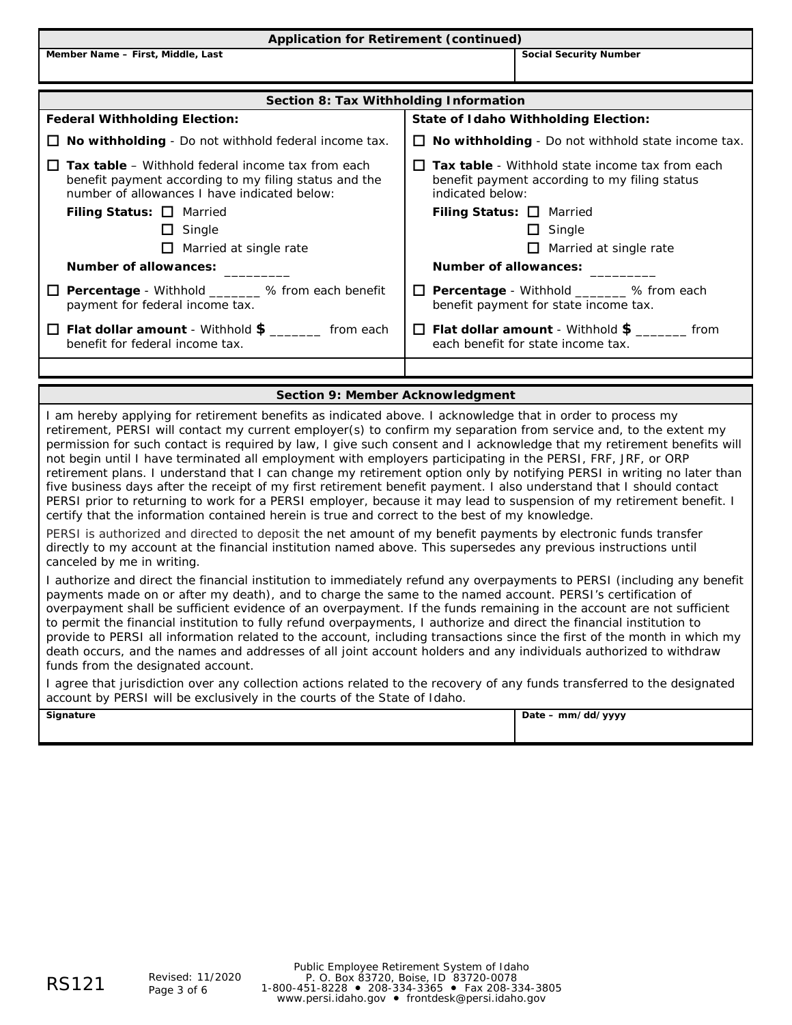| <b>Application for Retirement (continued)</b>                                                                                                                                                                                                                                                                                                                                                                                                                                                                                                                                                                                                                                                                                                                                                                                                                                                                                                                                                                                                                           |                                                                                                                             |  |  |  |  |
|-------------------------------------------------------------------------------------------------------------------------------------------------------------------------------------------------------------------------------------------------------------------------------------------------------------------------------------------------------------------------------------------------------------------------------------------------------------------------------------------------------------------------------------------------------------------------------------------------------------------------------------------------------------------------------------------------------------------------------------------------------------------------------------------------------------------------------------------------------------------------------------------------------------------------------------------------------------------------------------------------------------------------------------------------------------------------|-----------------------------------------------------------------------------------------------------------------------------|--|--|--|--|
| Member Name - First, Middle, Last                                                                                                                                                                                                                                                                                                                                                                                                                                                                                                                                                                                                                                                                                                                                                                                                                                                                                                                                                                                                                                       | <b>Social Security Number</b>                                                                                               |  |  |  |  |
|                                                                                                                                                                                                                                                                                                                                                                                                                                                                                                                                                                                                                                                                                                                                                                                                                                                                                                                                                                                                                                                                         |                                                                                                                             |  |  |  |  |
| <b>Section 8: Tax Withholding Information</b>                                                                                                                                                                                                                                                                                                                                                                                                                                                                                                                                                                                                                                                                                                                                                                                                                                                                                                                                                                                                                           |                                                                                                                             |  |  |  |  |
| <b>Federal Withholding Election:</b>                                                                                                                                                                                                                                                                                                                                                                                                                                                                                                                                                                                                                                                                                                                                                                                                                                                                                                                                                                                                                                    | <b>State of Idaho Withholding Election:</b>                                                                                 |  |  |  |  |
| $\Box$ No withholding - Do not withhold federal income tax.                                                                                                                                                                                                                                                                                                                                                                                                                                                                                                                                                                                                                                                                                                                                                                                                                                                                                                                                                                                                             | $\Box$ No withholding - Do not withhold state income tax.                                                                   |  |  |  |  |
| $\Box$ Tax table – Withhold federal income tax from each<br>benefit payment according to my filing status and the<br>number of allowances I have indicated below:                                                                                                                                                                                                                                                                                                                                                                                                                                                                                                                                                                                                                                                                                                                                                                                                                                                                                                       | $\Box$ Tax table - Withhold state income tax from each<br>benefit payment according to my filing status<br>indicated below: |  |  |  |  |
| Filing Status: $\Box$ Married                                                                                                                                                                                                                                                                                                                                                                                                                                                                                                                                                                                                                                                                                                                                                                                                                                                                                                                                                                                                                                           | Filing Status: □ Married                                                                                                    |  |  |  |  |
| $\Box$ Single                                                                                                                                                                                                                                                                                                                                                                                                                                                                                                                                                                                                                                                                                                                                                                                                                                                                                                                                                                                                                                                           | $\Box$ Single                                                                                                               |  |  |  |  |
| $\Box$ Married at single rate                                                                                                                                                                                                                                                                                                                                                                                                                                                                                                                                                                                                                                                                                                                                                                                                                                                                                                                                                                                                                                           | $\Box$ Married at single rate                                                                                               |  |  |  |  |
| <b>Number of allowances:</b>                                                                                                                                                                                                                                                                                                                                                                                                                                                                                                                                                                                                                                                                                                                                                                                                                                                                                                                                                                                                                                            | <b>Number of allowances:</b>                                                                                                |  |  |  |  |
| □ Percentage - Withhold _______ % from each benefit<br>payment for federal income tax.                                                                                                                                                                                                                                                                                                                                                                                                                                                                                                                                                                                                                                                                                                                                                                                                                                                                                                                                                                                  | □ Percentage - Withhold _______ % from each<br>benefit payment for state income tax.                                        |  |  |  |  |
| $\Box$ Flat dollar amount - Withhold $\$\_\_\_\_\_\_\_\_\_$ from each<br>benefit for federal income tax.                                                                                                                                                                                                                                                                                                                                                                                                                                                                                                                                                                                                                                                                                                                                                                                                                                                                                                                                                                | $\Box$ Flat dollar amount - Withhold $\frac{2}{3}$ ________ from<br>each benefit for state income tax.                      |  |  |  |  |
|                                                                                                                                                                                                                                                                                                                                                                                                                                                                                                                                                                                                                                                                                                                                                                                                                                                                                                                                                                                                                                                                         |                                                                                                                             |  |  |  |  |
| Section 9: Member Acknowledgment                                                                                                                                                                                                                                                                                                                                                                                                                                                                                                                                                                                                                                                                                                                                                                                                                                                                                                                                                                                                                                        |                                                                                                                             |  |  |  |  |
| I am hereby applying for retirement benefits as indicated above. I acknowledge that in order to process my<br>retirement, PERSI will contact my current employer(s) to confirm my separation from service and, to the extent my<br>permission for such contact is required by law, I give such consent and I acknowledge that my retirement benefits will<br>not begin until I have terminated all employment with employers participating in the PERSI, FRF, JRF, or ORP<br>retirement plans. I understand that I can change my retirement option only by notifying PERSI in writing no later than<br>five business days after the receipt of my first retirement benefit payment. I also understand that I should contact<br>PERSI prior to returning to work for a PERSI employer, because it may lead to suspension of my retirement benefit. I<br>certify that the information contained herein is true and correct to the best of my knowledge.<br>PERSI is authorized and directed to deposit the net amount of my benefit payments by electronic funds transfer |                                                                                                                             |  |  |  |  |

directly to my account at the financial institution named above. This supersedes any previous instructions until canceled by me in writing.

I authorize and direct the financial institution to immediately refund any overpayments to PERSI (including any benefit payments made on or after my death), and to charge the same to the named account. PERSI's certification of overpayment shall be sufficient evidence of an overpayment. If the funds remaining in the account are not sufficient to permit the financial institution to fully refund overpayments, I authorize and direct the financial institution to provide to PERSI all information related to the account, including transactions since the first of the month in which my death occurs, and the names and addresses of all joint account holders and any individuals authorized to withdraw funds from the designated account.

I agree that jurisdiction over any collection actions related to the recovery of any funds transferred to the designated account by PERSI will be exclusively in the courts of the State of Idaho.

| Signature | Date – mm/dd/yyyy |
|-----------|-------------------|
|           |                   |
|           |                   |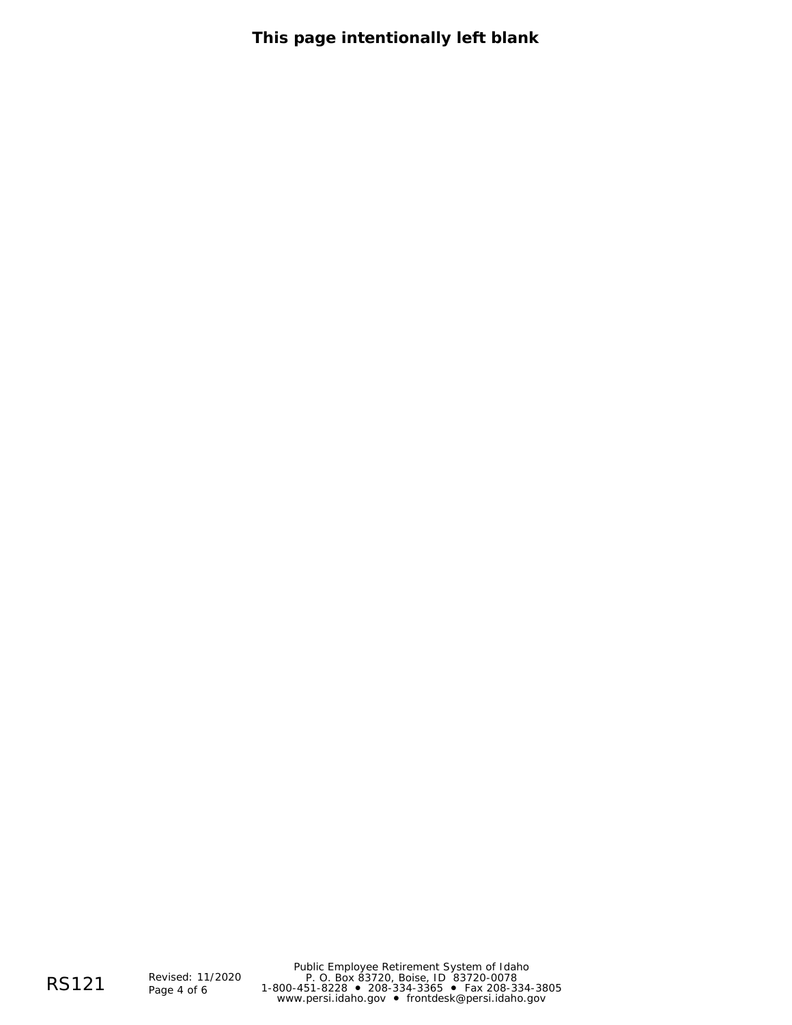**This page intentionally left blank**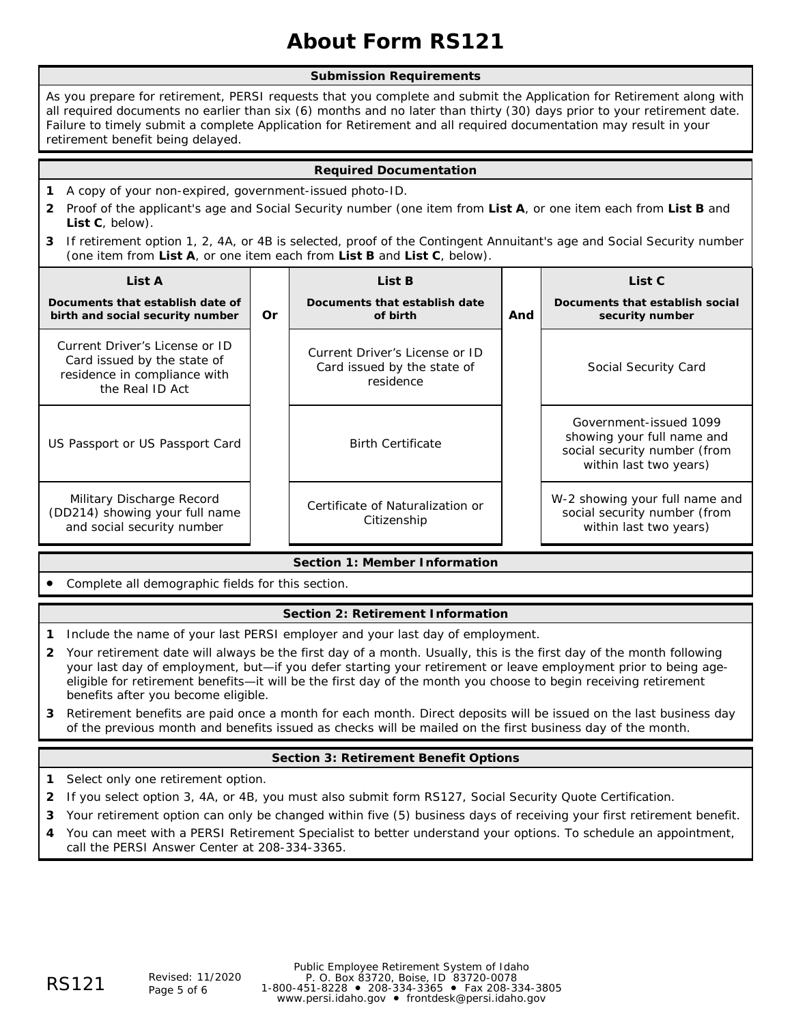# **About Form RS121**

As you prepare for retirement, PERSI requests that you complete and submit the *Application for Retirement* along with all required documents no earlier than six (6) months and no later than thirty (30) days prior to your retirement date. Failure to timely submit a complete *Application for Retirement* and all required documentation may result in your retirement benefit being delayed.

#### **Required Documentation**

- **1** A copy of your non-expired, government-issued photo-ID.
- **2** Proof of the applicant's age and Social Security number (one item from **List A**, or one item each from **List B** and **List C**, below).
- **3** If retirement option 1, 2, 4A, or 4B is selected, proof of the Contingent Annuitant's age and Social Security number (one item from **List A**, or one item each from **List B** and **List C**, below).

| List A                                                                                                           |    | List B                                                                     |     | List C                                                                                                         |  |
|------------------------------------------------------------------------------------------------------------------|----|----------------------------------------------------------------------------|-----|----------------------------------------------------------------------------------------------------------------|--|
| Documents that establish date of<br>birth and social security number                                             | Or | Documents that establish date<br>of birth                                  | And | Documents that establish social<br>security number                                                             |  |
| Current Driver's License or ID<br>Card issued by the state of<br>residence in compliance with<br>the Real ID Act |    | Current Driver's License or ID<br>Card issued by the state of<br>residence |     | Social Security Card                                                                                           |  |
| US Passport or US Passport Card                                                                                  |    | <b>Birth Certificate</b>                                                   |     | Government-issued 1099<br>showing your full name and<br>social security number (from<br>within last two years) |  |
| Military Discharge Record<br>(DD214) showing your full name<br>and social security number                        |    | Certificate of Naturalization or<br>Citizenship                            |     | W-2 showing your full name and<br>social security number (from<br>within last two years)                       |  |
| Section 1: Member Information                                                                                    |    |                                                                            |     |                                                                                                                |  |

Complete all demographic fields for this section.

# **Section 2: Retirement Information**

- **1** Include the name of your last PERSI employer and your last day of employment.
- **2** Your retirement date will always be the first day of a month. Usually, this is the first day of the month following your last day of employment, but—if you defer starting your retirement or leave employment prior to being ageeligible for retirement benefits—it will be the first day of the month you choose to begin receiving retirement benefits after you become eligible.
- **3** Retirement benefits are paid once a month for each month. Direct deposits will be issued on the last business day of the previous month and benefits issued as checks will be mailed on the first business day of the month.

## **Section 3: Retirement Benefit Options**

**1** Select only one retirement option.

- **2** If you select option 3, 4A, or 4B, you must also submit form RS127, *Social Security Quote Certification*.
- **3** Your retirement option can only be changed within five (5) business days of receiving your first retirement benefit.
- **4** You can meet with a PERSI Retirement Specialist to better understand your options. To schedule an appointment, call the PERSI Answer Center at 208-334-3365.